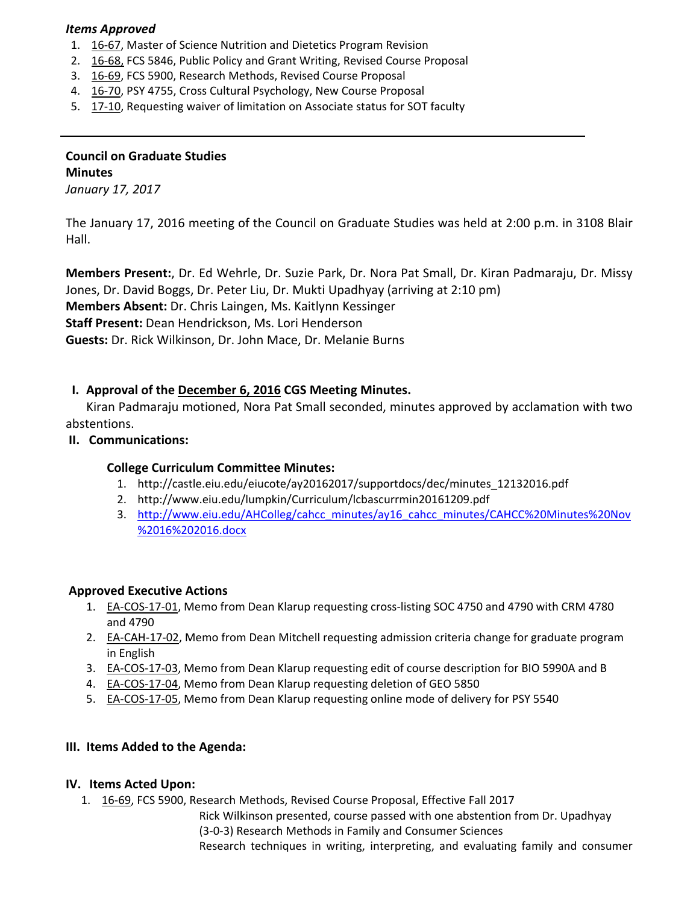#### *Items Approved*

- 1. 16‐[67,](http://castle.eiu.edu/eiucgs/currentagendaitems/agenda16-67.pdf) Master of Science Nutrition and Dietetics Program Revision
- 2. 16‐[68,](http://castle.eiu.edu/eiucgs/currentagendaitems/agenda16-68.pdf) FCS 5846, Public Policy and Grant Writing, Revised Course Proposal
- 3. 16‐[69,](http://castle.eiu.edu/eiucgs/currentagendaitems/agenda16-69.pdf) FCS 5900, Research Methods, Revised Course Proposal
- 4. 16‐[70,](http://castle.eiu.edu/eiucgs/currentagendaitems/agenda16-70.pdf) PSY 4755, Cross Cultural Psychology, New Course Proposal
- 5. 17-[10,](http://castle.eiu.edu/eiucgs/currentagendaitems/agenda17-10.pdf) Requesting waiver of limitation on Associate status for SOT faculty

# **Council on Graduate Studies Minutes**

*January 17, 2017*

The January 17, 2016 meeting of the Council on Graduate Studies was held at 2:00 p.m. in 3108 Blair Hall.

**Members Present:**, Dr. Ed Wehrle, Dr. Suzie Park, Dr. Nora Pat Small, Dr. Kiran Padmaraju, Dr. Missy Jones, Dr. David Boggs, Dr. Peter Liu, Dr. Mukti Upadhyay (arriving at 2:10 pm) **Members Absent:** Dr. Chris Laingen, Ms. Kaitlynn Kessinger **Staff Present:** Dean Hendrickson, Ms. Lori Henderson **Guests:** Dr. Rick Wilkinson, Dr. John Mace, Dr. Melanie Burns

## **I. Approval of the [December](http://castle.eiu.edu/eiucgs/currentminutes/Minutes12-6-16.pdf) 6, 2016 CGS Meeting Minutes.**

Kiran Padmaraju motioned, Nora Pat Small seconded, minutes approved by acclamation with two abstentions.

#### **II. Communications:**

## **College Curriculum Committee Minutes:**

- 1. [http://castle.eiu.edu/eiucote/ay20162017/supportdocs/dec/minutes\\_12132016.pdf](http://castle.eiu.edu/eiucote/ay20162017/supportdocs/dec/minutes_12132016.pdf)
- 2. <http://www.eiu.edu/lumpkin/Curriculum/lcbascurrmin20161209.pdf>
- 3. http://www.eiu.edu/AHColleg/cahcc\_minutes/ay16\_cahcc\_minutes/CAHCC%20Minutes%20Nov %2016%202016.docx

#### **Approved Executive Actions**

- 1. EA-COS-17-01, [Mem](http://castle.eiu.edu/eiucgs/exec-actions/EA-COS-17-01.pdf)o from Dean Klarup requesting cross-listing SOC 4750 and 4790 with CRM 4780 and 4790
- 2. EA-[CAH](http://castle.eiu.edu/eiucgs/exec-actions/EA-CAH-17-02.pdf)-17-02, Memo from Dean Mitchell requesting admission criteria change for graduate program in English
- 3. EA‐[COS](http://castle.eiu.edu/eiucgs/exec-actions/EA-COS-17-03.pdf)‐17‐03, Memo from Dean Klarup requesting edit of course description for BIO 5990A and B
- 4. EA‐[COS](http://castle.eiu.edu/eiucgs/exec-actions/EA-COS-17-04.pdf)‐17‐04, Memo from Dean Klarup requesting deletion of GEO 5850
- 5. EA-[COS](http://castle.eiu.edu/eiucgs/exec-actions/EA-COS-17-05.pdf)-17-05, Memo from Dean Klarup requesting online mode of delivery for PSY 5540

## **III. Items Added to the Agenda:**

## **IV. Items Acted Upon:**

1. 16‐[69,](http://castle.eiu.edu/eiucgs/currentagendaitems/agenda16-69.pdf) FCS 5900, Research Methods, Revised Course Proposal, Effective Fall 2017

Rick Wilkinson presented, course passed with one abstention from Dr. Upadhyay (3‐0‐3) Research Methods in Family and Consumer Sciences Research techniques in writing, interpreting, and evaluating family and consumer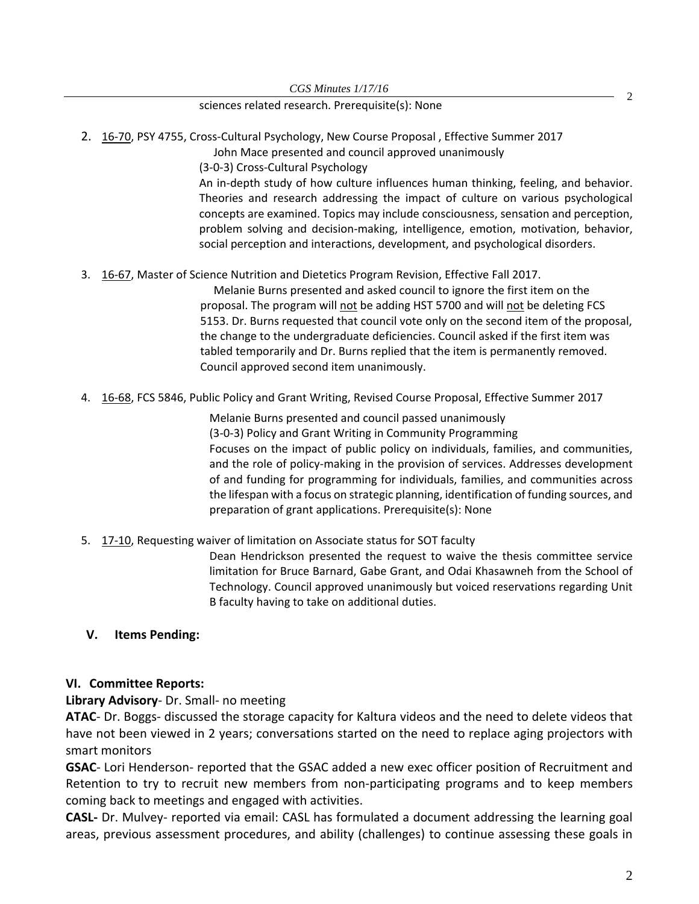#### sciences related research. Prerequisite(s): None

- 2. 16-[70,](http://castle.eiu.edu/eiucgs/currentagendaitems/agenda16-70.pdf) PSY 4755, Cross-Cultural Psychology, New Course Proposal, Effective Summer 2017
	- John Mace presented and council approved unanimously

(3‐0‐3) Cross‐Cultural Psychology

An in‐depth study of how culture influences human thinking, feeling, and behavior. Theories and research addressing the impact of culture on various psychological concepts are examined. Topics may include consciousness, sensation and perception, problem solving and decision‐making, intelligence, emotion, motivation, behavior, social perception and interactions, development, and psychological disorders.

#### 3. 16-67, [Mas](http://castle.eiu.edu/eiucgs/currentagendaitems/agenda16-67.pdf)ter of Science Nutrition and Dietetics Program Revision, Effective Fall 2017.

Melanie Burns presented and asked council to ignore the first item on the proposal. The program will not be adding HST 5700 and will not be deleting FCS 5153. Dr. Burns requested that council vote only on the second item of the proposal, the change to the undergraduate deficiencies. Council asked if the first item was tabled temporarily and Dr. Burns replied that the item is permanently removed. Council approved second item unanimously.

4. 16‐[68,](http://castle.eiu.edu/eiucgs/currentagendaitems/agenda16-68.pdf) FCS 5846, Public Policy and Grant Writing, Revised Course Proposal, Effective Summer 2017

Melanie Burns presented and council passed unanimously (3‐0‐3) Policy and Grant Writing in Community Programming Focuses on the impact of public policy on individuals, families, and communities, and the role of policy‐making in the provision of services. Addresses development of and funding for programming for individuals, families, and communities across the lifespan with a focus on strategic planning, identification of funding sources, and preparation of grant applications. Prerequisite(s): None

## 5. 17-[10,](http://castle.eiu.edu/eiucgs/currentagendaitems/agenda17-10.pdf) Requesting waiver of limitation on Associate status for SOT faculty

Dean Hendrickson presented the request to waive the thesis committee service limitation for Bruce Barnard, Gabe Grant, and Odai Khasawneh from the School of Technology. Council approved unanimously but voiced reservations regarding Unit B faculty having to take on additional duties.

## **V. Items Pending:**

#### **VI. Committee Reports:**

**Library Advisory**‐ Dr. Small‐ no meeting

**ATAC**‐ Dr. Boggs‐ discussed the storage capacity for Kaltura videos and the need to delete videos that have not been viewed in 2 years; conversations started on the need to replace aging projectors with smart monitors

**GSAC**‐ Lori Henderson‐ reported that the GSAC added a new exec officer position of Recruitment and Retention to try to recruit new members from non‐participating programs and to keep members coming back to meetings and engaged with activities.

**CASL‐** Dr. Mulvey‐ reported via email: CASL has formulated a document addressing the learning goal areas, previous assessment procedures, and ability (challenges) to continue assessing these goals in

2